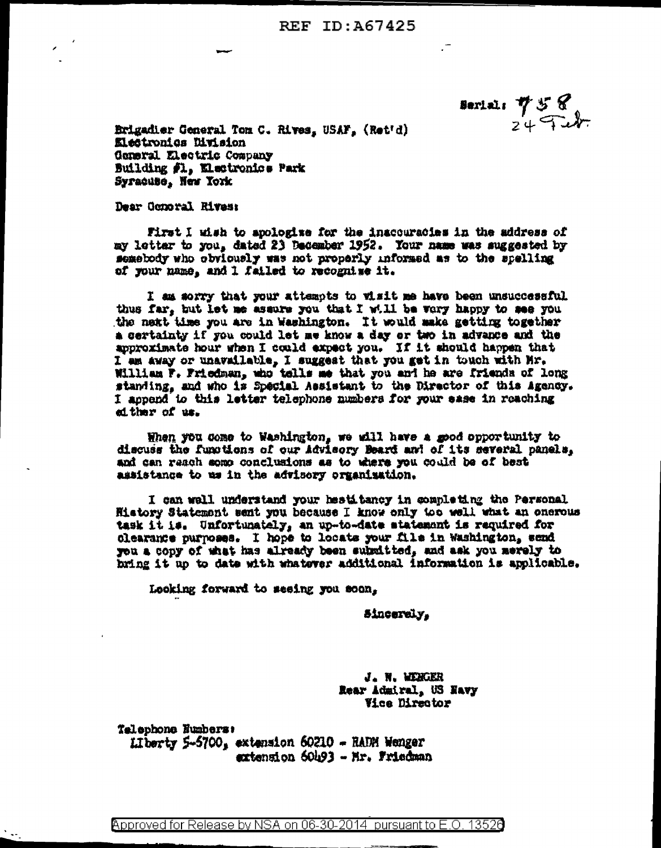## REF  $ID: A67425$

**Serial:**  $758$ <br> $2474$ 

Brigadier General Tom C. Rives, USAF, (Ret'd) Electronics Division General Electric Company Building #1, Electronics Park Syracuse, New York

Dear Genoral Rives:

First I wish to apologize for the inacouracies in the address of my letter to you, dated 23 December 1952. Your name was suggested by semebody who obviously was not properly informed as to the spelling of your name, and 1 failed to recognize it.

I am morry that your attempts to visit me have been unsuccessful thus far, but let me assure you that I will be vory happy to see you the next time you are in Washington. It would make getting together a certainty if you could let me know a day or two in advance and the approximate hour when I could expect you. If it should happen that I am away or unavailable, I suggest that you get in touch with Mr. William F. Friedman, who tells me that you and he are friends of long standing, and who is Special Assistant to the Director of this Agency. I append to this letter telephone numbers for your ease in reaching ed ther of us.

When you come to Washington, we will have a good opportunity to discuss the functions of our idvisory Beard and of its several panels, and can reach some conclusions as to where you could be of best assistance to us in the advisory organization.

I can well understand your hestitancy in completing the Personal History Statement sent you because I know only too well what an onerous task it is. Unfortunately, an up-to-date statement is required for clearance purposes. I hope to locate your file in Washington, send you a copy of what has already been submitted, and ask you merely to bring it up to date with whatever additional information is applicable.

Looking forward to seeing you soon,

Sincerely.

J. N. WEMGER Rear Admiral, US Navy **Yice Director** 

Telephone Numbers: Liberty 5-5700, extension 60210 - RADM Wenger extension 60493 - Mr. Friedman

Approved for Release by NSA on 06-30-2014 pursuant to E.O. 13526